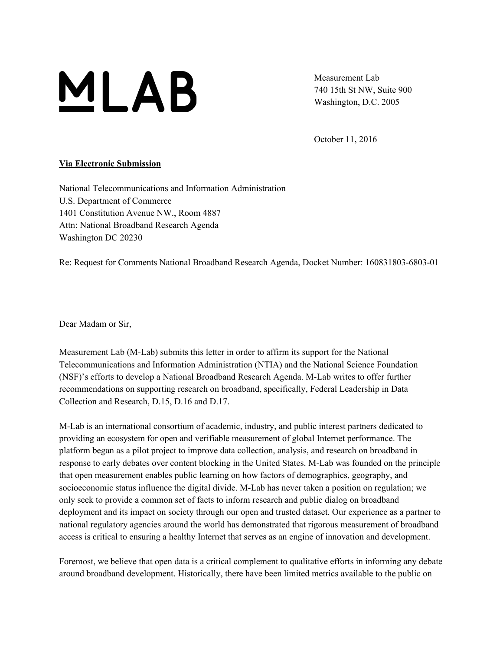

Measurement Lab 740 15th St NW, Suite 900 Washington, D.C. 2005

October 11, 2016

#### **Via Electronic Submission**

National Telecommunications and Information Administration U.S. Department of Commerce 1401 Constitution Avenue NW., Room 4887 Attn: National Broadband Research Agenda Washington DC 20230

Re: Request for Comments National Broadband Research Agenda, Docket Number: 160831803-6803-01

Dear Madam or Sir,

Measurement Lab (M-Lab) submits this letter in order to affirm its support for the National Telecommunications and Information Administration (NTIA) and the National Science Foundation (NSF)'s efforts to develop a National Broadband Research Agenda. M-Lab writes to offer further recommendations on supporting research on broadband, specifically, Federal Leadership in Data Collection and Research, D.15, D.16 and D.17.

M-Lab is an international consortium of academic, industry, and public interest partners dedicated to providing an ecosystem for open and verifiable measurement of global Internet performance. The platform began as a pilot project to improve data collection, analysis, and research on broadband in response to early debates over content blocking in the United States. M-Lab was founded on the principle that open measurement enables public learning on how factors of demographics, geography, and socioeconomic status influence the digital divide. M-Lab has never taken a position on regulation; we only seek to provide a common set of facts to inform research and public dialog on broadband deployment and its impact on society through our open and trusted dataset. Our experience as a partner to national regulatory agencies around the world has demonstrated that rigorous measurement of broadband access is critical to ensuring a healthy Internet that serves as an engine of innovation and development.

Foremost, we believe that open data is a critical complement to qualitative efforts in informing any debate around broadband development. Historically, there have been limited metrics available to the public on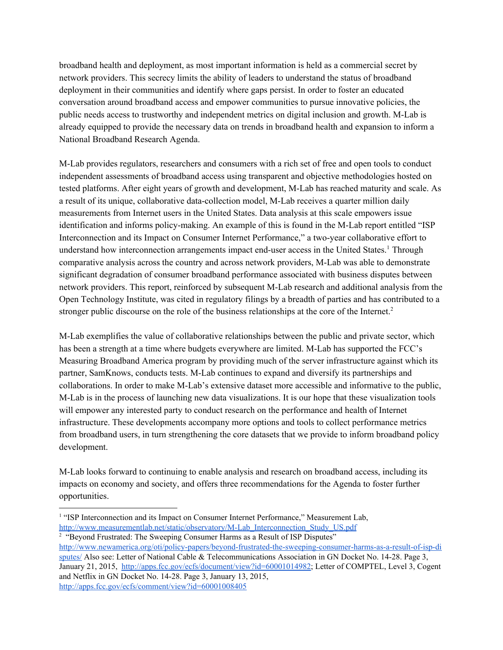broadband health and deployment, as most important information is held as a commercial secret by network providers. This secrecy limits the ability of leaders to understand the status of broadband deployment in their communities and identify where gaps persist. In order to foster an educated conversation around broadband access and empower communities to pursue innovative policies, the public needs access to trustworthy and independent metrics on digital inclusion and growth. M-Lab is already equipped to provide the necessary data on trends in broadband health and expansion to inform a National Broadband Research Agenda.

M-Lab provides regulators, researchers and consumers with a rich set of free and open tools to conduct independent assessments of broadband access using transparent and objective methodologies hosted on tested platforms. After eight years of growth and development, M-Lab has reached maturity and scale. As a result of its unique, collaborative data-collection model, M-Lab receives a quarter million daily measurements from Internet users in the United States. Data analysis at this scale empowers issue identification and informs policy-making. An example of this is found in the M-Lab report entitled "ISP Interconnection and its Impact on Consumer Internet Performance," a two-year collaborative effort to understand how interconnection arrangements impact end-user access in the United States.<sup>1</sup> Through comparative analysis across the country and across network providers, M-Lab was able to demonstrate significant degradation of consumer broadband performance associated with business disputes between network providers. This report, reinforced by subsequent M-Lab research and additional analysis from the Open Technology Institute, was cited in regulatory filings by a breadth of parties and has contributed to a stronger public discourse on the role of the business relationships at the core of the Internet.<sup>2</sup>

M-Lab exemplifies the value of collaborative relationships between the public and private sector, which has been a strength at a time where budgets everywhere are limited. M-Lab has supported the FCC's Measuring Broadband America program by providing much of the server infrastructure against which its partner, SamKnows, conducts tests. M-Lab continues to expand and diversify its partnerships and collaborations. In order to make M-Lab's extensive dataset more accessible and informative to the public, M-Lab is in the process of launching new data visualizations. It is our hope that these visualization tools will empower any interested party to conduct research on the performance and health of Internet infrastructure. These developments accompany more options and tools to collect performance metrics from broadband users, in turn strengthening the core datasets that we provide to inform broadband policy development.

M-Lab looks forward to continuing to enable analysis and research on broadband access, including its impacts on economy and society, and offers three recommendations for the Agenda to foster further opportunities.

<sup>&</sup>lt;sup>1</sup> "ISP Interconnection and its Impact on Consumer Internet Performance," Measurement Lab, [http://www.measurementlab.net/static/observatory/M-Lab\\_Interconnection\\_Study\\_US.pdf](http://www.measurementlab.net/static/observatory/M-Lab_Interconnection_Study_US.pdf)

<sup>&</sup>lt;sup>2</sup> "Beyond Frustrated: The Sweeping Consumer Harms as a Result of ISP Disputes"

[http://www.newamerica.org/oti/policy-papers/beyond-frustrated-the-sweeping-consumer-harms-as-a-result-of-isp-di](http://www.newamerica.org/oti/policy-papers/beyond-frustrated-the-sweeping-consumer-harms-as-a-result-of-isp-disputes/) [sputes/](http://www.newamerica.org/oti/policy-papers/beyond-frustrated-the-sweeping-consumer-harms-as-a-result-of-isp-disputes/) Also see: Letter of National Cable & Telecommunications Association in GN Docket No. 14-28. Page 3, January 21, 2015, [http://apps.fcc.gov/ecfs/document/view?id=60001014982;](http://apps.fcc.gov/ecfs/document/view?id=60001014982) Letter of COMPTEL, Level 3, Cogent and Netflix in GN Docket No. 14-28. Page 3, January 13, 2015, <http://apps.fcc.gov/ecfs/comment/view?id=60001008405>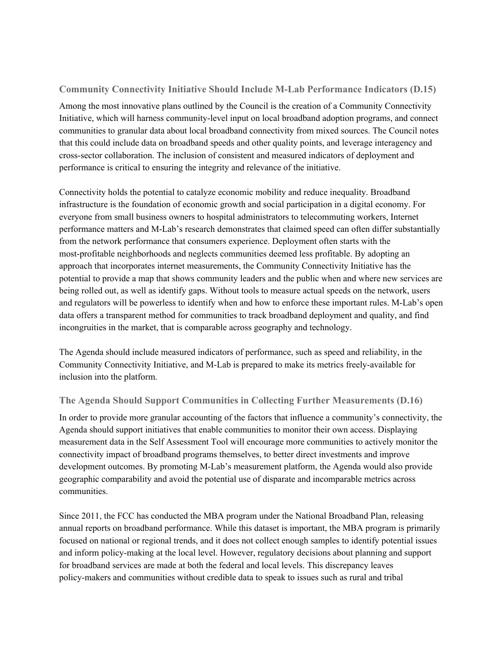### **Community Connectivity Initiative Should Include M-Lab Performance Indicators (D.15)**

Among the most innovative plans outlined by the Council is the creation of a Community Connectivity Initiative, which will harness community-level input on local broadband adoption programs, and connect communities to granular data about local broadband connectivity from mixed sources. The Council notes that this could include data on broadband speeds and other quality points, and leverage interagency and cross-sector collaboration. The inclusion of consistent and measured indicators of deployment and performance is critical to ensuring the integrity and relevance of the initiative.

Connectivity holds the potential to catalyze economic mobility and reduce inequality. Broadband infrastructure is the foundation of economic growth and social participation in a digital economy. For everyone from small business owners to hospital administrators to telecommuting workers, Internet performance matters and M-Lab's research demonstrates that claimed speed can often differ substantially from the network performance that consumers experience. Deployment often starts with the most-profitable neighborhoods and neglects communities deemed less profitable. By adopting an approach that incorporates internet measurements, the Community Connectivity Initiative has the potential to provide a map that shows community leaders and the public when and where new services are being rolled out, as well as identify gaps. Without tools to measure actual speeds on the network, users and regulators will be powerless to identify when and how to enforce these important rules. M-Lab's open data offers a transparent method for communities to track broadband deployment and quality, and find incongruities in the market, that is comparable across geography and technology.

The Agenda should include measured indicators of performance, such as speed and reliability, in the Community Connectivity Initiative, and M-Lab is prepared to make its metrics freely-available for inclusion into the platform.

#### **The Agenda Should Support Communities in Collecting Further Measurements (D.16)**

In order to provide more granular accounting of the factors that influence a community's connectivity, the Agenda should support initiatives that enable communities to monitor their own access. Displaying measurement data in the Self Assessment Tool will encourage more communities to actively monitor the connectivity impact of broadband programs themselves, to better direct investments and improve development outcomes. By promoting M-Lab's measurement platform, the Agenda would also provide geographic comparability and avoid the potential use of disparate and incomparable metrics across communities.

Since 2011, the FCC has conducted the MBA program under the National Broadband Plan, releasing annual reports on broadband performance. While this dataset is important, the MBA program is primarily focused on national or regional trends, and it does not collect enough samples to identify potential issues and inform policy-making at the local level. However, regulatory decisions about planning and support for broadband services are made at both the federal and local levels. This discrepancy leaves policy-makers and communities without credible data to speak to issues such as rural and tribal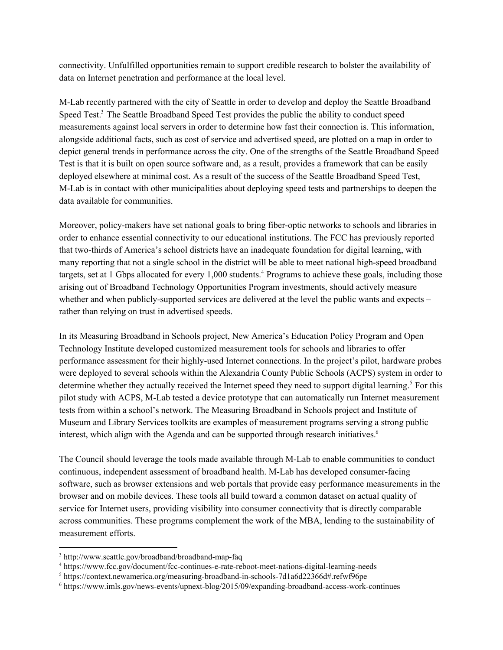connectivity. Unfulfilled opportunities remain to support credible research to bolster the availability of data on Internet penetration and performance at the local level.

M-Lab recently partnered with the city of Seattle in order to develop and deploy the Seattle Broadband Speed Test.<sup>3</sup> The Seattle Broadband Speed Test provides the public the ability to conduct speed measurements against local servers in order to determine how fast their connection is. This information, alongside additional facts, such as cost of service and advertised speed, are plotted on a map in order to depict general trends in performance across the city. One of the strengths of the Seattle Broadband Speed Test is that it is built on open source software and, as a result, provides a framework that can be easily deployed elsewhere at minimal cost. As a result of the success of the Seattle Broadband Speed Test, M-Lab is in contact with other municipalities about deploying speed tests and partnerships to deepen the data available for communities.

Moreover, policy-makers have set national goals to bring fiber-optic networks to schools and libraries in order to enhance essential connectivity to our educational institutions. The FCC has previously reported that two-thirds of America's school districts have an inadequate foundation for digital learning, with many reporting that not a single school in the district will be able to meet national high-speed broadband targets, set at 1 Gbps allocated for every 1,000 students.<sup>4</sup> Programs to achieve these goals, including those arising out of Broadband Technology Opportunities Program investments, should actively measure whether and when publicly-supported services are delivered at the level the public wants and expects – rather than relying on trust in advertised speeds.

In its Measuring Broadband in Schools project, New America's Education Policy Program and Open Technology Institute developed customized measurement tools for schools and libraries to offer performance assessment for their highly-used Internet connections. In the project's pilot, hardware probes were deployed to several schools within the Alexandria County Public Schools (ACPS) system in order to determine whether they actually received the Internet speed they need to support digital learning.<sup>5</sup> For this pilot study with ACPS, M-Lab tested a device prototype that can automatically run Internet measurement tests from within a school's network. The Measuring Broadband in Schools project and Institute of Museum and Library Services toolkits are examples of measurement programs serving a strong public interest, which align with the Agenda and can be supported through research initiatives. 6

The Council should leverage the tools made available through M-Lab to enable communities to conduct continuous, independent assessment of broadband health. M-Lab has developed consumer-facing software, such as browser extensions and web portals that provide easy performance measurements in the browser and on mobile devices. These tools all build toward a common dataset on actual quality of service for Internet users, providing visibility into consumer connectivity that is directly comparable across communities. These programs complement the work of the MBA, lending to the sustainability of measurement efforts.

<sup>3</sup> http://www.seattle.gov/broadband/broadband-map-faq

<sup>4</sup> https://www.fcc.gov/document/fcc-continues-e-rate-reboot-meet-nations-digital-learning-needs

<sup>5</sup> https://context.newamerica.org/measuring-broadband-in-schools-7d1a6d22366d#.refwf96pe

<sup>6</sup> https://www.imls.gov/news-events/upnext-blog/2015/09/expanding-broadband-access-work-continues